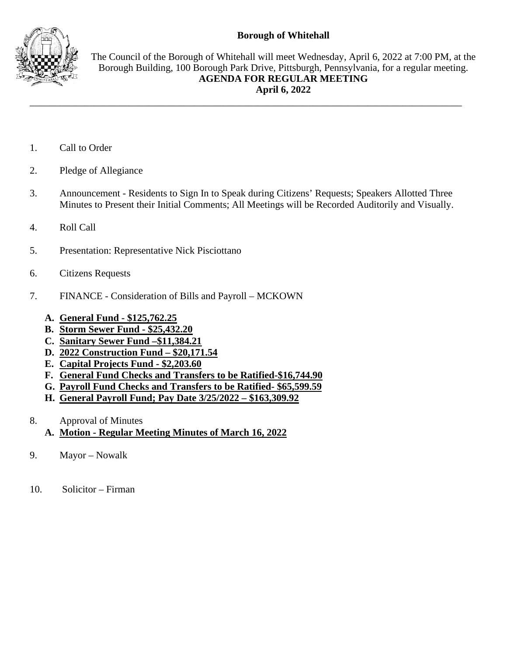## **Borough of Whitehall**



The Council of the Borough of Whitehall will meet Wednesday, April 6, 2022 at 7:00 PM, at the Borough Building, 100 Borough Park Drive, Pittsburgh, Pennsylvania, for a regular meeting. **AGENDA FOR REGULAR MEETING April 6, 2022**

- 1. Call to Order
- 2. Pledge of Allegiance
- 3. Announcement Residents to Sign In to Speak during Citizens' Requests; Speakers Allotted Three Minutes to Present their Initial Comments; All Meetings will be Recorded Auditorily and Visually.

\_\_\_\_\_\_\_\_\_\_\_\_\_\_\_\_\_\_\_\_\_\_\_\_\_\_\_\_\_\_\_\_\_\_\_\_\_\_\_\_\_\_\_\_\_\_\_\_\_\_\_\_\_\_\_\_\_\_\_\_\_\_\_\_\_\_\_\_\_\_\_\_\_\_\_\_\_\_\_\_\_\_\_\_\_\_\_

- 4. Roll Call
- 5. Presentation: Representative Nick Pisciottano
- 6. Citizens Requests
- 7. FINANCE Consideration of Bills and Payroll MCKOWN
	- **A. General Fund - \$125,762.25**
	- **B. Storm Sewer Fund - \$25,432.20**
	- **C. Sanitary Sewer Fund –\$11,384.21**
	- **D. 2022 Construction Fund – \$20,171.54**
	- **E. Capital Projects Fund - \$2,203.60**
	- **F. General Fund Checks and Transfers to be Ratified-\$16,744.90**
	- **G. Payroll Fund Checks and Transfers to be Ratified- \$65,599.59**
	- **H. General Payroll Fund; Pay Date 3/25/2022 – \$163,309.92**
- 8. Approval of Minutes
	- **A. Motion - Regular Meeting Minutes of March 16, 2022**
- 9. Mayor Nowalk
- 10. Solicitor Firman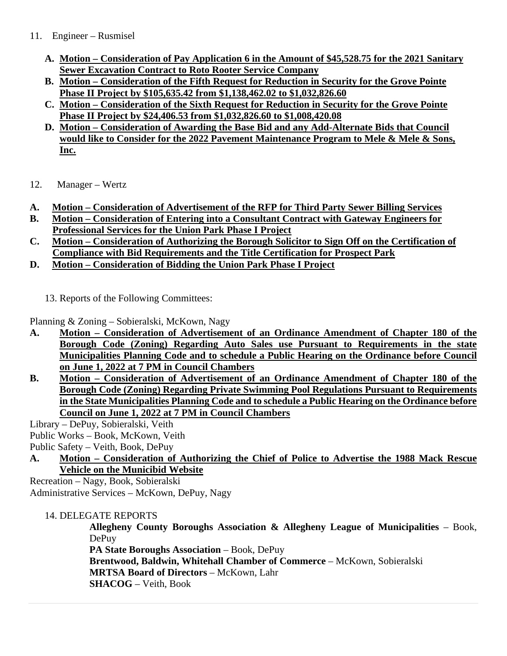## 11. Engineer – Rusmisel

- **A. Motion – Consideration of Pay Application 6 in the Amount of \$45,528.75 for the 2021 Sanitary Sewer Excavation Contract to Roto Rooter Service Company**
- **B. Motion – Consideration of the Fifth Request for Reduction in Security for the Grove Pointe Phase II Project by \$105,635.42 from \$1,138,462.02 to \$1,032,826.60**
- **C. Motion – Consideration of the Sixth Request for Reduction in Security for the Grove Pointe Phase II Project by \$24,406.53 from \$1,032,826.60 to \$1,008,420.08**
- **D. Motion – Consideration of Awarding the Base Bid and any Add-Alternate Bids that Council would like to Consider for the 2022 Pavement Maintenance Program to Mele & Mele & Sons, Inc.**
- 12. Manager Wertz
- **A. Motion – Consideration of Advertisement of the RFP for Third Party Sewer Billing Services**
- **B. Motion – Consideration of Entering into a Consultant Contract with Gateway Engineers for Professional Services for the Union Park Phase I Project**
- **C. Motion – Consideration of Authorizing the Borough Solicitor to Sign Off on the Certification of Compliance with Bid Requirements and the Title Certification for Prospect Park**
- **D. Motion – Consideration of Bidding the Union Park Phase I Project**
	- 13. Reports of the Following Committees:

Planning & Zoning – Sobieralski, McKown, Nagy

- **A. Motion – Consideration of Advertisement of an Ordinance Amendment of Chapter 180 of the Borough Code (Zoning) Regarding Auto Sales use Pursuant to Requirements in the state Municipalities Planning Code and to schedule a Public Hearing on the Ordinance before Council on June 1, 2022 at 7 PM in Council Chambers**
- **B. Motion – Consideration of Advertisement of an Ordinance Amendment of Chapter 180 of the Borough Code (Zoning) Regarding Private Swimming Pool Regulations Pursuant to Requirements in the State Municipalities Planning Code and to schedule a Public Hearing on the Ordinance before Council on June 1, 2022 at 7 PM in Council Chambers**

Library – DePuy, Sobieralski, Veith

Public Works – Book, McKown, Veith

Public Safety – Veith, Book, DePuy

**A. Motion – Consideration of Authorizing the Chief of Police to Advertise the 1988 Mack Rescue Vehicle on the Municibid Website**

Recreation – Nagy, Book, Sobieralski Administrative Services – McKown, DePuy, Nagy

14. DELEGATE REPORTS

**Allegheny County Boroughs Association & Allegheny League of Municipalities** – Book, DePuy

**PA State Boroughs Association** – Book, DePuy

**Brentwood, Baldwin, Whitehall Chamber of Commerce** – McKown, Sobieralski **MRTSA Board of Directors** – McKown, Lahr

**SHACOG** – Veith, Book